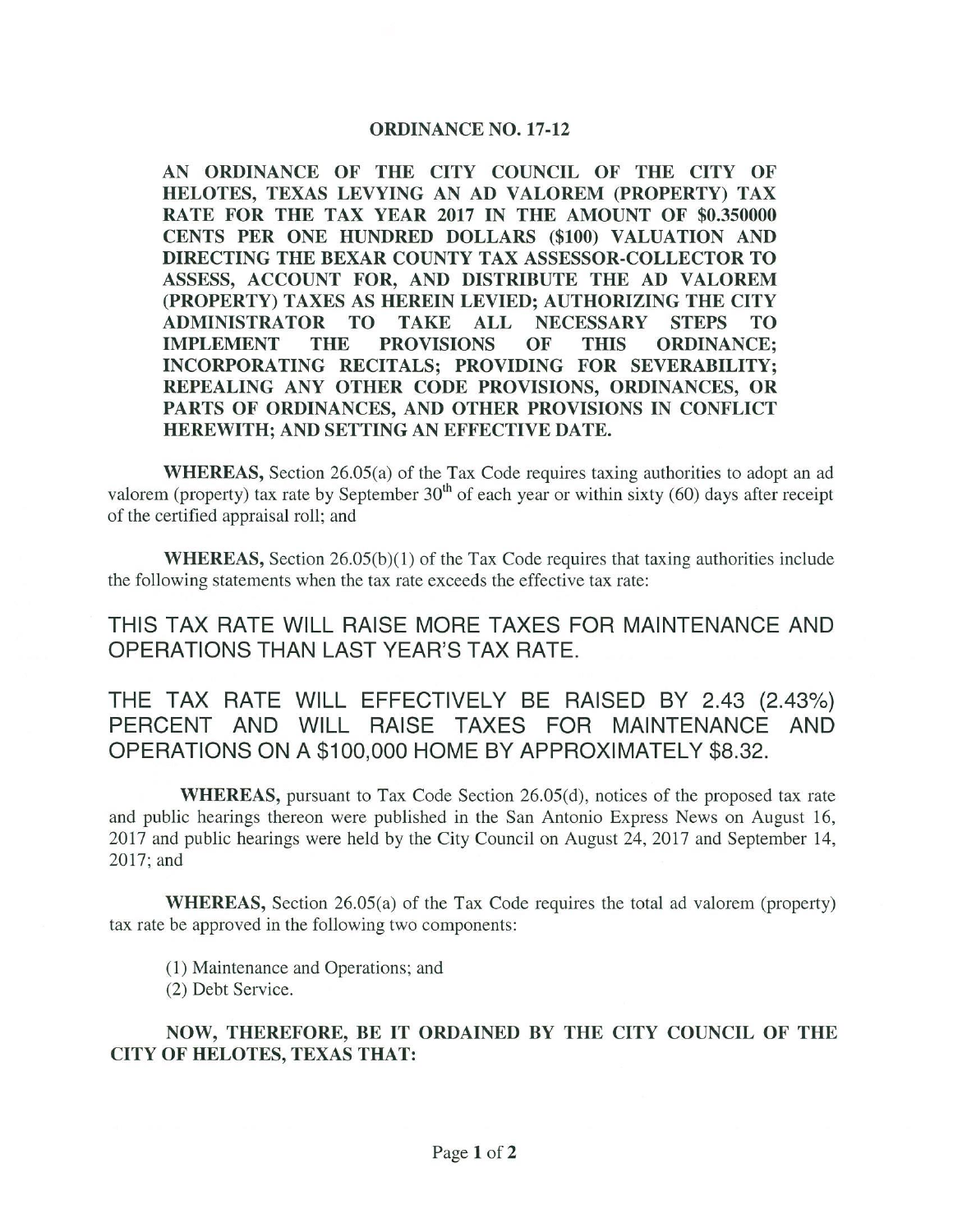## ORDINANCE NO. 17-12

AN ORDINANCE OF THE CITY COUNCIL OF THE CITY OF HELOTES, TEXAS LEVYING AN AD VALOREM ( PROPERTY) TAX RATE FOR THE TAX YEAR 2017 IN THE AMOUNT OF \$0.350000 CENTS PER ONE HUNDRED DOLLARS (\$100) VALUATION AND DIRECTING THE BEXAR COUNTY TAX ASSESSOR -COLLECTOR TO ASSESS, ACCOUNT FOR, AND DISTRIBUTE THE AD VALOREM PROPERTY) TAXES AS HEREIN LEVIED; AUTHORIZING THE CITY ADMINISTRATOR TO TAKE ALL NECESSARY STEPS TO IMPLEMENT THE PROVISIONS OF THIS ORDINANCE; INCORPORATING RECITALS; PROVIDING FOR SEVERABILITY; REPEALING ANY OTHER CODE PROVISIONS, ORDINANCES, OR PARTS OF ORDINANCES, AND OTHER PROVISIONS IN CONFLICT HEREWITH; AND SETTING AN EFFECTIVE DATE.

**WHEREAS,** Section 26.05(a) of the Tax Code requires taxing authorities to adopt an ad valorem (property) tax rate by September  $30<sup>th</sup>$  of each year or within sixty (60) days after receipt of the certified appraisal roll; and

**WHEREAS,** Section  $26.05(b)(1)$  of the Tax Code requires that taxing authorities include the following statements when the tax rate exceeds the effective tax rate:

THIS TAX RATE WILL RAISE MORE TAXES FOR MAINTENANCE AND OPERATIONS THAN LAST YEAR'S TAX RATE.

THE TAX RATE WILL EFFECTIVELY BE RAISED BY 2.43 (2.43%) PERCENT AND WILL RAISE TAXES FOR MAINTENANCE AND OPERATIONS ON A \$ 100,000 HOME BY APPROXIMATELY \$8. 32.

WHEREAS, pursuant to Tax Code Section 26.05(d), notices of the proposed tax rate and public hearings thereon were published in the San Antonio Express News on August 16, 2017 and public hearings were held by the City Council on August 24, 2017 and September 14, 2017; and

WHEREAS, Section 26.05(a) of the Tax Code requires the total ad valorem (property) tax rate be approved in the following two components:

1) Maintenance and Operations; and

2) Debt Service.

NOW, THEREFORE, BE IT ORDAINED BY THE CITY COUNCIL OF THE CITY OF HELOTES, TEXAS THAT: